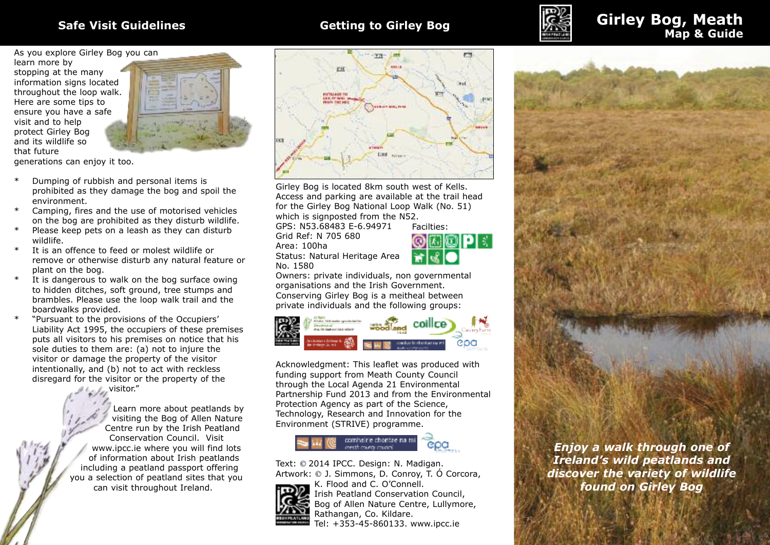

# **Safe Visit Guidelines Getting to Girley Bog Girley Bog, Meath Map & Guide**

As you explore Girley Bog you can

learn more by stopping at the many information signs located throughout the loop walk. Here are some tips to ensure you have a safe visit and to help protect Girley Bog and its wildlife so that future



generations can enjoy it too.

- Dumping of rubbish and personal items is prohibited as they damage the bog and spoil the environment.
- Camping, fires and the use of motorised vehicles on the bog are prohibited as they disturb wildlife.
- Please keep pets on a leash as they can disturb wildlife.
- It is an offence to feed or molest wildlife or remove or otherwise disturb any natural feature or plant on the bog.
- \* It is dangerous to walk on the bog surface owing to hidden ditches, soft ground, tree stumps and brambles. Please use the loop walk trail and the boardwalks provided.
- \* "Pursuant to the provisions of the Occupiers' Liability Act 1995, the occupiers of these premises puts all visitors to his premises on notice that his sole duties to them are: (a) not to injure the visitor or damage the property of the visitor intentionally, and (b) not to act with reckless disregard for the visitor or the property of the

visitor."

Learn more about peatlands by visiting the Bog of Allen Nature Centre run by the Irish Peatland Conservation Council. Visit www.ipcc.ie where you will find lots of information about Irish peatlands including a peatland passport offering you a selection of peatland sites that you can visit throughout Ireland.



Girley Bog is located 8km south west of Kells. Access and parking are available at the trail head for the Girley Bog National Loop Walk (No. 51) which is signposted from the N52.

GPS: N53.68483 E-6.94971 Grid Ref: N 705 680 Area: 100ha Status: Natural Heritage Area No. 1580



Facilties:

Owners: private individuals, non governmental organisations and the Irish Government. Conserving Girley Bog is a meitheal between private individuals and the following groups:



Acknowledgment: This leaflet was produced with funding support from Meath County Council through the Local Agenda 21 Environmental Partnership Fund 2013 and from the Environmental Protection Agency as part of the Science, Technology, Research and Innovation for the Environment (STRIVE) programme.

# combairle chontae na m

Text: © 2014 IPCC. Design: N. Madigan. Artwork: © J. Simmons, D. Conroy, T. Ó Corcora,



K. Flood and C. O'Connell. Irish Peatland Conservation Council, Bog of Allen Nature Centre, Lullymore, Rathangan, Co. Kildare. Tel: +353-45-860133. www.ipcc.ie